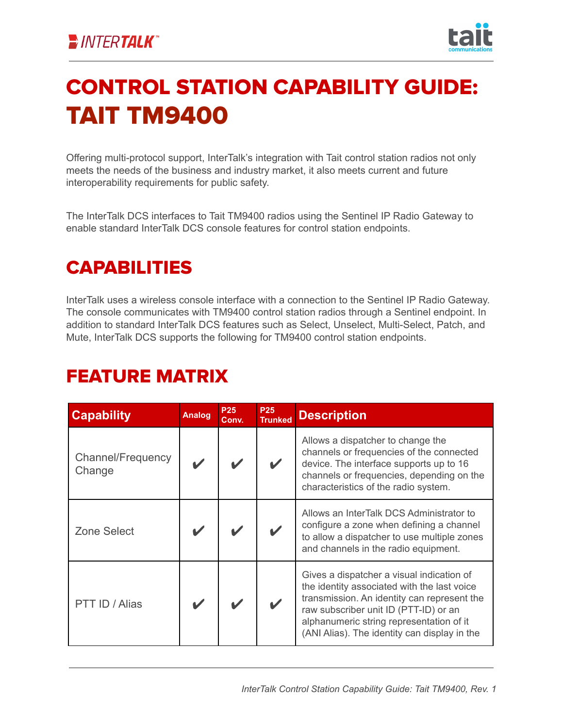

# CONTROL STATION CAPABILITY GUIDE: TAIT TM9400

Offering multi-protocol support, InterTalk's integration with Tait control station radios not only meets the needs of the business and industry market, it also meets current and future interoperability requirements for public safety.

The InterTalk DCS interfaces to Tait TM9400 radios using the Sentinel IP Radio Gateway to enable standard InterTalk DCS console features for control station endpoints.

### CAPABILITIES

InterTalk uses a wireless console interface with a connection to the Sentinel IP Radio Gateway. The console communicates with TM9400 control station radios through a Sentinel endpoint. In addition to standard InterTalk DCS features such as Select, Unselect, Multi-Select, Patch, and Mute, InterTalk DCS supports the following for TM9400 control station endpoints.

#### FEATURE MATRIX

| <b>Capability</b>           | <b>Analog</b> | <b>P25</b><br>Conv. | <b>P25</b><br><b>Trunked</b> | <b>Description</b>                                                                                                                                                                                                                                                           |
|-----------------------------|---------------|---------------------|------------------------------|------------------------------------------------------------------------------------------------------------------------------------------------------------------------------------------------------------------------------------------------------------------------------|
| Channel/Frequency<br>Change |               |                     |                              | Allows a dispatcher to change the<br>channels or frequencies of the connected<br>device. The interface supports up to 16<br>channels or frequencies, depending on the<br>characteristics of the radio system.                                                                |
| <b>Zone Select</b>          |               |                     |                              | Allows an InterTalk DCS Administrator to<br>configure a zone when defining a channel<br>to allow a dispatcher to use multiple zones<br>and channels in the radio equipment.                                                                                                  |
| PTT ID / Alias              |               |                     |                              | Gives a dispatcher a visual indication of<br>the identity associated with the last voice<br>transmission. An identity can represent the<br>raw subscriber unit ID (PTT-ID) or an<br>alphanumeric string representation of it<br>(ANI Alias). The identity can display in the |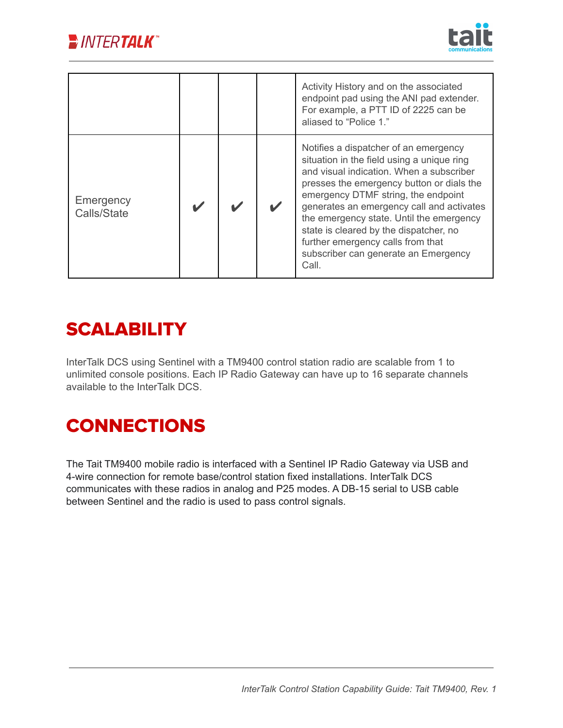



|                          |  | Activity History and on the associated<br>endpoint pad using the ANI pad extender.<br>For example, a PTT ID of 2225 can be<br>aliased to "Police 1."                                                                                                                                                                                                                                                                                         |
|--------------------------|--|----------------------------------------------------------------------------------------------------------------------------------------------------------------------------------------------------------------------------------------------------------------------------------------------------------------------------------------------------------------------------------------------------------------------------------------------|
| Emergency<br>Calls/State |  | Notifies a dispatcher of an emergency<br>situation in the field using a unique ring<br>and visual indication. When a subscriber<br>presses the emergency button or dials the<br>emergency DTMF string, the endpoint<br>generates an emergency call and activates<br>the emergency state. Until the emergency<br>state is cleared by the dispatcher, no<br>further emergency calls from that<br>subscriber can generate an Emergency<br>Call. |

#### **SCALABILITY**

InterTalk DCS using Sentinel with a TM9400 control station radio are scalable from 1 to unlimited console positions. Each IP Radio Gateway can have up to 16 separate channels available to the InterTalk DCS.

## **CONNECTIONS**

The Tait TM9400 mobile radio is interfaced with a Sentinel IP Radio Gateway via USB and 4-wire connection for remote base/control station fixed installations. InterTalk DCS communicates with these radios in analog and P25 modes. A DB-15 serial to USB cable between Sentinel and the radio is used to pass control signals.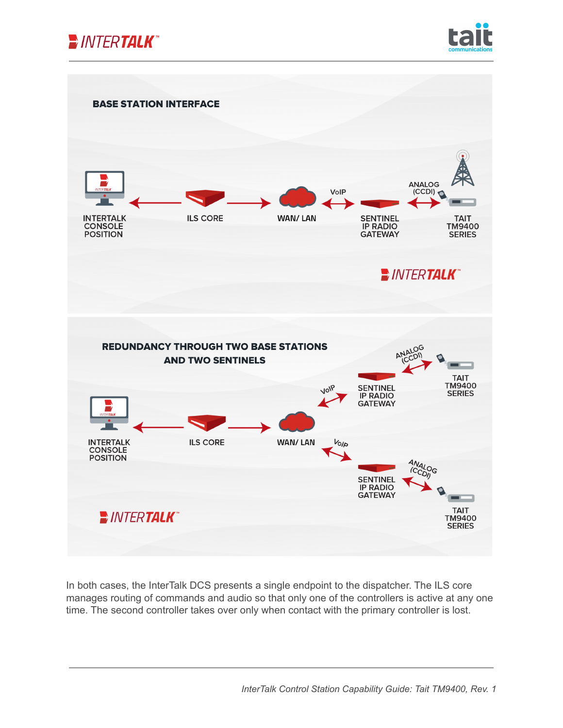





In both cases, the InterTalk DCS presents a single endpoint to the dispatcher. The ILS core manages routing of commands and audio so that only one of the controllers is active at any one time. The second controller takes over only when contact with the primary controller is lost.